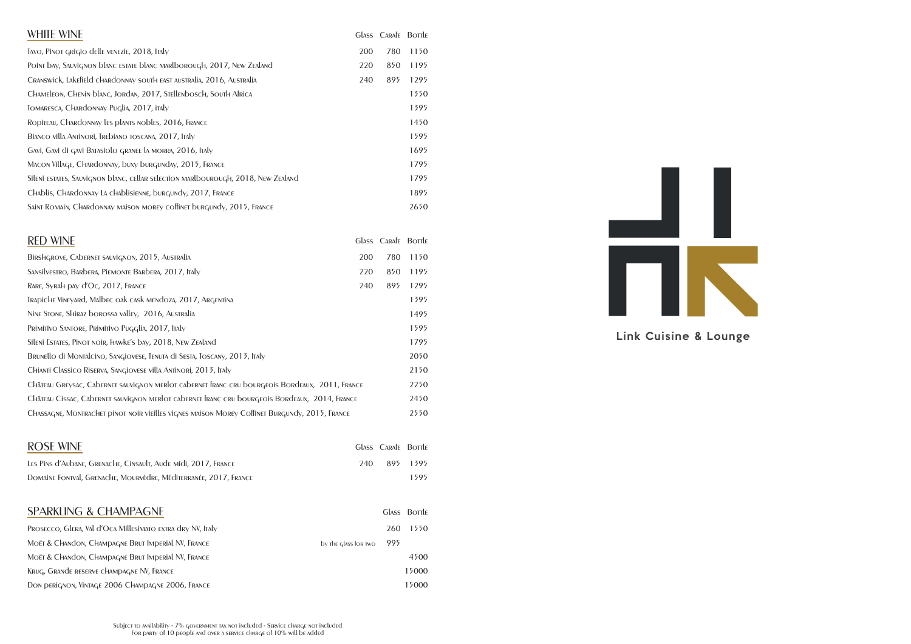| <b>ROSE WINE</b>                                                 |     | <b>GLASS CARAFE BOTTLE</b> |          |
|------------------------------------------------------------------|-----|----------------------------|----------|
| LES PINS d'Aubane, GRENACHE, CINSAULT, Aude Midi, 2017, FRANCE   | 240 |                            | 895 1395 |
| DOMAINE FONTVAL, GRENACHE, MOURVÈDRE, MÉDITERRANÉE, 2017, FRANCE |     |                            | 1595     |



| <b>WHITE WINE</b>                                                                 |     | Glass Carafe Bortle |      |
|-----------------------------------------------------------------------------------|-----|---------------------|------|
| TAVO, PINOT GRIGIO delle VENEZIE, 2018, ITALY                                     | 200 | 780                 | 1150 |
| Point bay, Sauvignon blanc ESTATE blanc MARLborough, 2017, NEW ZEALAND            | 220 | 850                 | 1195 |
| CRANSWICK, LAKEfield CHARdONNAY SOUTH EAST AUSTRALIA, 2016, AUSTRALIA             | 240 | 895                 | 1295 |
| CHAMELEON, CHENIN blanc, JORDAN, 2017, STELLENbOSCH, SOUTH AFRICA                 |     |                     | 1350 |
| TOMARESCA, CHARDONNAY Puglia, 2017, ITAly                                         |     |                     | 1395 |
| RODITEAU, CHARDONNAY LES PLANTS NObles, 2016, FRANCE                              |     |                     | 1450 |
| BIANCO VILLA ANTINORI, TREDIANO TOSCANA, 2017, ITALY                              |     |                     | 1595 |
| Gavi, Gavi di gavi Batasiolo granee la morra, 2016, Italy                         |     |                     | 1695 |
| MACON VILLAGE, CHARDONNAY, buxy burgunday, 2015, FRANCE                           |     |                     | 1795 |
| Sileni estates, Sauvignon blanc, cellar selection marlbourough, 2018, New Zealand |     |                     | 1795 |
| CHAblis, CHARdonnay La cHablisienne, burgundy, 2017, FRANCE                       |     |                     | 1895 |
| SAINT ROMAIN, CHARDONNAY MAISON MOREY COffINET burgundy, 2015, FRANCE             |     |                     | 2650 |

| <b>RED WINE</b>                                                                                |     | GLASS CARAFE BOTTLE |      |
|------------------------------------------------------------------------------------------------|-----|---------------------|------|
| BIRSHGROVE, CADERNET SAUVIGNON, 2015, AUSTRALIA                                                | 200 | 780                 | 1150 |
| SANSILVESTRO, BARDERA, PIEMONTE BARDERA, 2017, ITALY                                           | 220 | 850                 | 1195 |
| RARE, SYRAH DAY d'OC, 2017, FRANCE                                                             | 240 | 895                 | 1295 |
| TRADICHE VINEYARD, MALDEC OAK CASK MENDOZA, 2017, ARGENTINA                                    |     |                     | 1395 |
| NINE STONE, SHIRAZ DOROSSA VALLEY, 2016, AUSTRALIA                                             |     |                     | 1495 |
| Primitivo Santore, Primitivo Pugglia, 2017, Italy                                              |     |                     | 1595 |
| SILENI ESTATES, PINOT NOIR, HAWKE'S DAY, 2018, NEW ZEALAND                                     |     |                     | 1795 |
| BRUNELLO di MONTALCINO, SANGIOVESE, TENUTA di SESTA, TOSCANY, 2013, ITALY                      |     |                     | 2050 |
| CHIANTI Classico Riserva, Sangiovese villa Antinori, 2013, Italy                               |     |                     | 2150 |
| CHÂTEAU GREYSAC, CADERNET SAUVIGNON MERIOT CADERNET ÍRANC CRU DOURGEOIS BORDEAUX, 2011, FRANCE |     |                     | 2250 |
| CHÂTEAU CISSAC, CADERNET SAUVIGNON MERIOT CADERNET FRANC CRU DOURGEOIS BORDEAUX, 2014, FRANCE  |     |                     | 2450 |
| CHASSAGNE, MONTRACHET DINOT NOIR VIEILLES VIGNES MAISON MOREY COffinet BURGUNDY, 2015, FRANCE  |     |                     | 2550 |

#### SPARKLING & CHAMPAGNE

| PROSECCO, GLERA, Val d'Oca Millesimato extra dry NV, Italy |                      | 260 | 1550  |
|------------------------------------------------------------|----------------------|-----|-------|
| MOËT & CHANDON, CHAMPAGNE BRUT IMPERIAL NV, FRANCE         | by the glass for two | 995 |       |
| MOËT & CHANDON, CHAMPAGNE BRUT IMPERIAL NV, FRANCE         |                      |     | 4500  |
| KRUG, GRANDE RESERVE CHAMPAGNE NV, FRANCE                  |                      |     | 15000 |
| DON DERIGNON, VINTAGE 2006 CHAMPAGNE 2006, FRANCE          |                      |     | 15000 |

Glass Borrle

Link Cuisine & Lounge